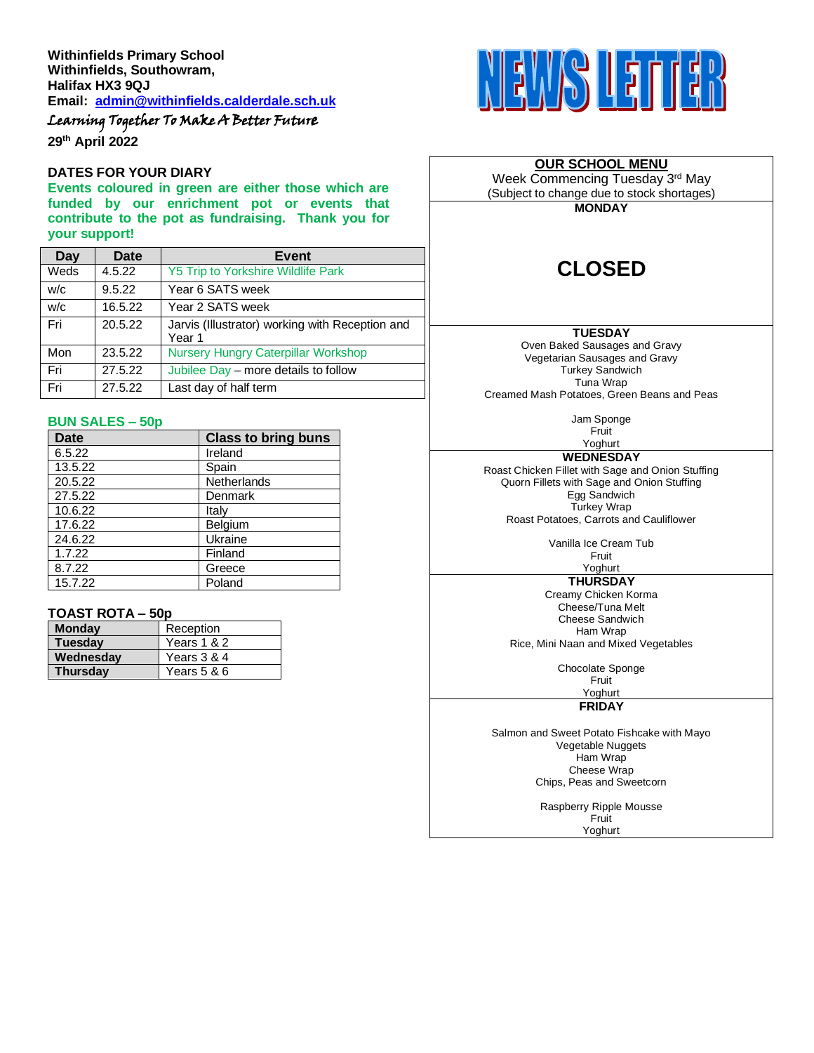**Withinfields Primary School Withinfields, Southowram, Halifax HX3 9QJ Email: [admin@withinfields.calderdale.sch.uk](mailto:admin@withinfields.calderdale.sch.uk)**

Learning Together To Make A Better Future

**29th April 2022**

#### **DATES FOR YOUR DIARY**

**Events coloured in green are either those which are funded by our enrichment pot or events that contribute to the pot as fundraising. Thank you for your support!**

| Day  | <b>Date</b> | <b>Event</b>                                              |  |
|------|-------------|-----------------------------------------------------------|--|
| Weds | 4.5.22      | <b>Y5 Trip to Yorkshire Wildlife Park</b>                 |  |
| W/C  | 9.5.22      | Year 6 SATS week                                          |  |
| W/C  | 16.5.22     | Year 2 SATS week                                          |  |
| Fri  | 20.5.22     | Jarvis (Illustrator) working with Reception and<br>Year 1 |  |
| Mon  | 23.5.22     | <b>Nursery Hungry Caterpillar Workshop</b>                |  |
| Fri  | 27.5.22     | Jubilee Day - more details to follow                      |  |
| Fri  | 27.5.22     | Last day of half term                                     |  |

#### **BUN SALES – 50p**

| <b>Date</b> | <b>Class to bring buns</b> |
|-------------|----------------------------|
| 6.5.22      | Ireland                    |
| 13.5.22     | Spain                      |
| 20.5.22     | <b>Netherlands</b>         |
| 27.5.22     | Denmark                    |
| 10.6.22     | Italy                      |
| 17.6.22     | Belgium                    |
| 24.6.22     | Ukraine                    |
| 1.7.22      | Finland                    |
| 8.7.22      | Greece                     |
| 15.7.22     | Poland                     |

### **TOAST ROTA – 50p**

| <b>Monday</b>   | Reception   |
|-----------------|-------------|
| <b>Tuesday</b>  | Years 1 & 2 |
| Wednesdav       | Years 3 & 4 |
| <b>Thursday</b> | Years 5 & 6 |



## **OUR SCHOOL MENU**

Week Commencing Tuesday 3rd May (Subject to change due to stock shortages)

**MONDAY**

# **CLOSED**

#### **TUESDAY**

Oven Baked Sausages and Gravy Vegetarian Sausages and Gravy Turkey Sandwich Tuna Wrap Creamed Mash Potatoes, Green Beans and Peas

> Jam Sponge Fruit

Yoghurt **WEDNESDAY** Roast Chicken Fillet with Sage and Onion Stuffing Quorn Fillets with Sage and Onion Stuffing Egg Sandwich Turkey Wrap Roast Potatoes, Carrots and Cauliflower

> Vanilla Ice Cream Tub Fruit

#### Yoghurt **THURSDAY**

Creamy Chicken Korma Cheese/Tuna Melt Cheese Sandwich Ham Wrap Rice, Mini Naan and Mixed Vegetables

Chocolate Sponge

Fruit

Yoghurt

#### **FRIDAY**

Salmon and Sweet Potato Fishcake with Mayo Vegetable Nuggets Ham Wrap Cheese Wrap Chips, Peas and Sweetcorn

> Raspberry Ripple Mousse **Fruit**

Yoghurt